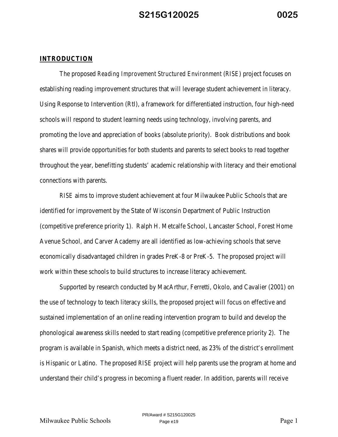#### **INTRODUCTION**

The proposed *Reading Improvement Structured Environment* (*RISE*) project focuses on establishing reading improvement structures that will leverage student achievement in literacy. Using Response to Intervention (RtI), a framework for differentiated instruction, four high-need schools will respond to student learning needs using technology, involving parents, and promoting the love and appreciation of books (absolute priority). Book distributions and book shares will provide opportunities for both students and parents to select books to read together throughout the year, benefitting students' academic relationship with literacy and their emotional connections with parents.

*RISE* aims to improve student achievement at four Milwaukee Public Schools that are identified for improvement by the State of Wisconsin Department of Public Instruction (competitive preference priority 1). Ralph H. Metcalfe School, Lancaster School, Forest Home Avenue School, and Carver Academy are all identified as low-achieving schools that serve economically disadvantaged children in grades PreK-8 or PreK-5. The proposed project will work within these schools to build structures to increase literacy achievement.

Supported by research conducted by MacArthur, Ferretti, Okolo, and Cavalier (2001) on the use of technology to teach literacy skills, the proposed project will focus on effective and sustained implementation of an online reading intervention program to build and develop the phonological awareness skills needed to start reading (competitive preference priority 2). The program is available in Spanish, which meets a district need, as 23% of the district's enrollment is Hispanic or Latino. The proposed *RISE* project will help parents use the program at home and understand their child's progress in becoming a fluent reader. In addition, parents will receive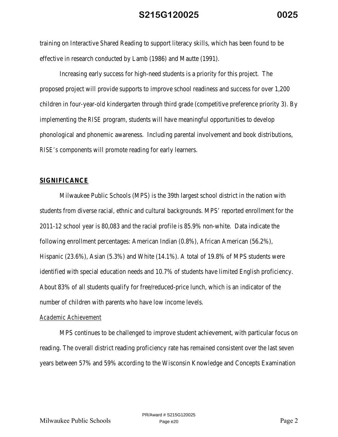training on Interactive Shared Reading to support literacy skills, which has been found to be effective in research conducted by Lamb (1986) and Mautte (1991).

Increasing early success for high-need students is a priority for this project. The proposed project will provide supports to improve school readiness and success for over 1,200 children in four-year-old kindergarten through third grade (competitive preference priority 3). By implementing the *RISE* program, students will have meaningful opportunities to develop phonological and phonemic awareness. Including parental involvement and book distributions, *RISE's* components will promote reading for early learners.

#### **SIGNIFICANCE**

Milwaukee Public Schools (MPS) is the 39th largest school district in the nation with students from diverse racial, ethnic and cultural backgrounds. MPS' reported enrollment for the 2011-12 school year is 80,083 and the racial profile is 85.9% non-white. Data indicate the following enrollment percentages: American Indian (0.8%), African American (56.2%), Hispanic (23.6%), Asian (5.3%) and White (14.1%). A total of 19.8% of MPS students were identified with special education needs and 10.7% of students have limited English proficiency. About 83% of all students qualify for free/reduced-price lunch, which is an indicator of the number of children with parents who have low income levels.

#### *Academic Achievement*

MPS continues to be challenged to improve student achievement, with particular focus on reading. The overall district reading proficiency rate has remained consistent over the last seven years between 57% and 59% according to the Wisconsin Knowledge and Concepts Examination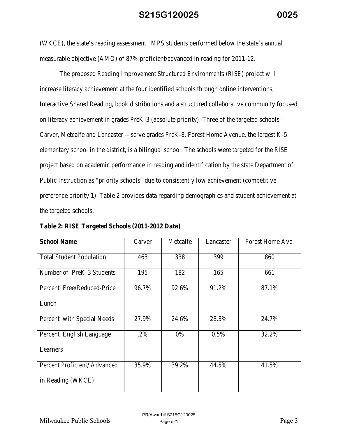(WKCE), the state's reading assessment. MPS students performed below the state's annual measurable objective (AMO) of 87% proficient/advanced in reading for 2011-12.

 The proposed *Reading Improvement Structured Environments (RISE)* project will increase literacy achievement at the four identified schools through online interventions, Interactive Shared Reading, book distributions and a structured collaborative community focused on literacy achievement in grades PreK-3 (absolute priority). Three of the targeted schools - Carver, Metcalfe and Lancaster -- serve grades PreK-8. Forest Home Avenue, the largest K-5 elementary school in the district, is a bilingual school. The schools were targeted for the *RISE*  project based on academic performance in reading and identification by the state Department of Public Instruction as "priority schools" due to consistently low achievement (competitive preference priority 1). Table 2 provides data regarding demographics and student achievement at the targeted schools.

| <b>School Name</b>              | Carver | Metcalfe | Lancaster | Forest Home Ave. |
|---------------------------------|--------|----------|-----------|------------------|
| <b>Total Student Population</b> | 463    | 338      | 399       | 860              |
| Number of PreK-3 Students       | 195    | 182      | 165       | 661              |
| Percent Free/Reduced-Price      | 96.7%  | 92.6%    | 91.2%     | 87.1%            |
| Lunch                           |        |          |           |                  |
| Percent with Special Needs      | 27.9%  | 24.6%    | 28.3%     | 24.7%            |
| Percent English Language        | .2%    | 0%       | 0.5%      | 32.2%            |
| Learners                        |        |          |           |                  |
| Percent Proficient/Advanced     | 35.9%  | 39.2%    | 44.5%     | 41.5%            |
| in Reading (WKCE)               |        |          |           |                  |

**Table 2:** *RISE* **Targeted Schools (2011-2012 Data)**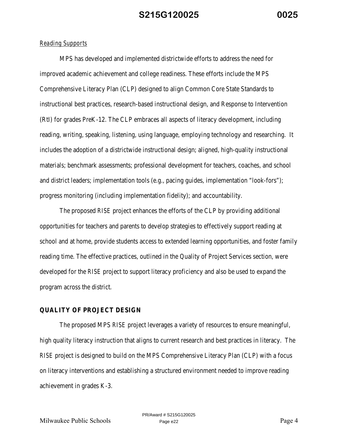#### *Reading Supports*

MPS has developed and implemented districtwide efforts to address the need for improved academic achievement and college readiness. These efforts include the MPS Comprehensive Literacy Plan (CLP) designed to align Common Core State Standards to instructional best practices, research-based instructional design, and Response to Intervention (RtI) for grades PreK-12. The CLP embraces all aspects of literacy development, including reading, writing, speaking, listening, using language, employing technology and researching. It includes the adoption of a districtwide instructional design; aligned, high-quality instructional materials; benchmark assessments; professional development for teachers, coaches, and school and district leaders; implementation tools (e.g., pacing guides, implementation "look-fors"); progress monitoring (including implementation fidelity); and accountability.

The proposed *RISE* project enhances the efforts of the CLP by providing additional opportunities for teachers and parents to develop strategies to effectively support reading at school and at home, provide students access to extended learning opportunities, and foster family reading time. The effective practices, outlined in the Quality of Project Services section, were developed for the *RISE* project to support literacy proficiency and also be used to expand the program across the district.

#### **QUALITY OF PROJECT DESIGN**

The proposed MPS *RISE* project leverages a variety of resources to ensure meaningful, high quality literacy instruction that aligns to current research and best practices in literacy. The *RISE* project is designed to build on the MPS Comprehensive Literacy Plan (CLP) with a focus on literacy interventions and establishing a structured environment needed to improve reading achievement in grades K-3.

Milwaukee Public Schools Page e22 Page 4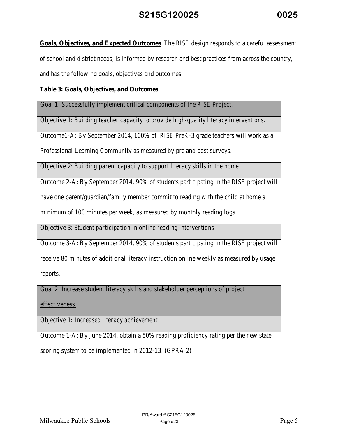**Goals, Objectives, and Expected Outcomes** The *RISE* design responds to a careful assessment of school and district needs, is informed by research and best practices from across the country, and has the following goals, objectives and outcomes:

### **Table 3: Goals, Objectives, and Outcomes**

Goal 1: Successfully implement critical components of the *RISE* Project.

Objective 1: *Building teacher capacity to provide high-quality literacy interventions.* 

Outcome1-A: By September 2014, 100% of *RISE* PreK-3 grade teachers will work as a

Professional Learning Community as measured by pre and post surveys.

Objective 2: *Building parent capacity to support literacy skills in the home* 

Outcome 2-A: By September 2014, 90% of students participating in the *RISE* project will

have one parent/guardian/family member commit to reading with the child at home a

minimum of 100 minutes per week, as measured by monthly reading logs.

Objective 3: *Student participation in online reading interventions*

Outcome 3-A: By September 2014, 90% of students participating in the *RISE* project will

receive 80 minutes of additional literacy instruction online weekly as measured by usage

reports.

Goal 2: Increase student literacy skills and stakeholder perceptions of project

effectiveness.

Objective 1*: Increased literacy achievement*

Outcome 1-A: By June 2014, obtain a 50% reading proficiency rating per the new state

scoring system to be implemented in 2012-13. (GPRA 2)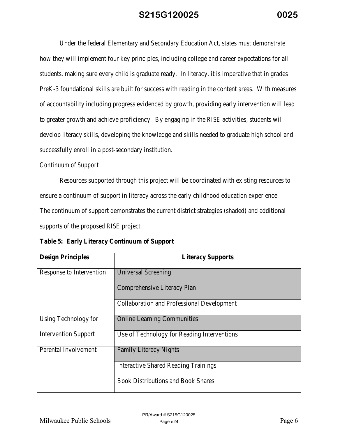Under the federal Elementary and Secondary Education Act, states must demonstrate how they will implement four key principles, including college and career expectations for all students, making sure every child is graduate ready. In literacy, it is imperative that in grades PreK-3 foundational skills are built for success with reading in the content areas. With measures of accountability including progress evidenced by growth, providing early intervention will lead to greater growth and achieve proficiency. By engaging in the *RISE* activities, students will develop literacy skills, developing the knowledge and skills needed to graduate high school and successfully enroll in a post-secondary institution.

#### *Continuum of Support*

Resources supported through this project will be coordinated with existing resources to ensure a continuum of support in literacy across the early childhood education experience. The continuum of support demonstrates the current district strategies (shaded) and additional supports of the proposed *RISE* project.

|  |  | <b>Table 5: Early Literacy Continuum of Support</b> |  |
|--|--|-----------------------------------------------------|--|
|--|--|-----------------------------------------------------|--|

| <b>Design Principles</b>    | <b>Literacy Supports</b>                          |
|-----------------------------|---------------------------------------------------|
| Response to Intervention    | <b>Universal Screening</b>                        |
|                             | Comprehensive Literacy Plan                       |
|                             | <b>Collaboration and Professional Development</b> |
| Using Technology for        | <b>Online Learning Communities</b>                |
| <b>Intervention Support</b> | Use of Technology for Reading Interventions       |
| Parental Involvement        | <b>Family Literacy Nights</b>                     |
|                             | <b>Interactive Shared Reading Trainings</b>       |
|                             | <b>Book Distributions and Book Shares</b>         |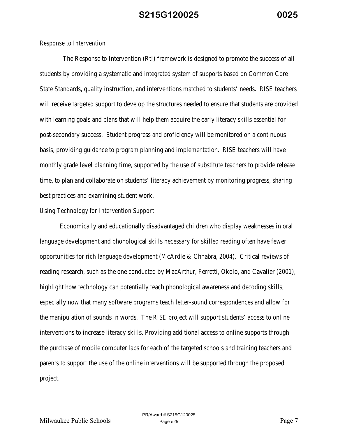#### *Response to Intervention*

 The Response to Intervention (RtI) framework is designed to promote the success of all students by providing a systematic and integrated system of supports based on Common Core State Standards, quality instruction, and interventions matched to students' needs. *RISE* teachers will receive targeted support to develop the structures needed to ensure that students are provided with learning goals and plans that will help them acquire the early literacy skills essential for post-secondary success. Student progress and proficiency will be monitored on a continuous basis, providing guidance to program planning and implementation. *RISE* teachers will have monthly grade level planning time, supported by the use of substitute teachers to provide release time, to plan and collaborate on students' literacy achievement by monitoring progress, sharing best practices and examining student work.

#### *Using Technology for Intervention Support*

Economically and educationally disadvantaged children who display weaknesses in oral language development and phonological skills necessary for skilled reading often have fewer opportunities for rich language development (McArdle & Chhabra, 2004). Critical reviews of reading research, such as the one conducted by MacArthur, Ferretti, Okolo, and Cavalier (2001), highlight how technology can potentially teach phonological awareness and decoding skills, especially now that many software programs teach letter-sound correspondences and allow for the manipulation of sounds in words. The *RISE* project will support students' access to online interventions to increase literacy skills. Providing additional access to online supports through the purchase of mobile computer labs for each of the targeted schools and training teachers and parents to support the use of the online interventions will be supported through the proposed project.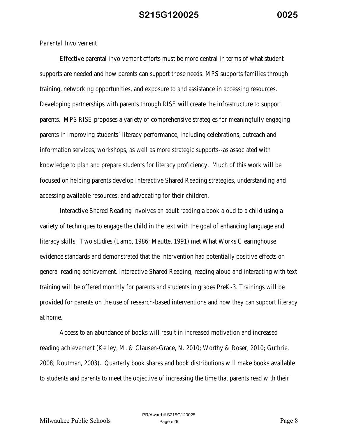#### *Parental Involvement*

Effective parental involvement efforts must be more central in terms of what student supports are needed and how parents can support those needs. MPS supports families through training, networking opportunities, and exposure to and assistance in accessing resources. Developing partnerships with parents through *RISE* will create the infrastructure to support parents. MPS *RISE* proposes a variety of comprehensive strategies for meaningfully engaging parents in improving students' literacy performance, including celebrations, outreach and information services, workshops, as well as more strategic supports--as associated with knowledge to plan and prepare students for literacy proficiency. Much of this work will be focused on helping parents develop Interactive Shared Reading strategies, understanding and accessing available resources, and advocating for their children.

Interactive Shared Reading involves an adult reading a book aloud to a child using a variety of techniques to engage the child in the text with the goal of enhancing language and literacy skills. Two studies (Lamb, 1986; Mautte, 1991) met What Works Clearinghouse evidence standards and demonstrated that the intervention had potentially positive effects on general reading achievement. Interactive Shared Reading, reading aloud and interacting with text training will be offered monthly for parents and students in grades PreK-3. Trainings will be provided for parents on the use of research-based interventions and how they can support literacy at home.

Access to an abundance of books will result in increased motivation and increased reading achievement (Kelley, M. & Clausen-Grace, N. 2010; Worthy & Roser, 2010; Guthrie, 2008; Routman, 2003). Quarterly book shares and book distributions will make books available to students and parents to meet the objective of increasing the time that parents read with their

Milwaukee Public Schools Page 8 Page 8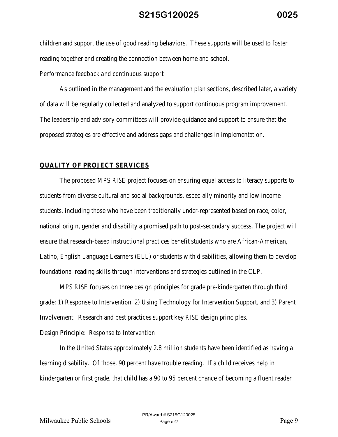children and support the use of good reading behaviors. These supports will be used to foster reading together and creating the connection between home and school.

#### *Performance feedback and continuous support*

As outlined in the management and the evaluation plan sections, described later, a variety of data will be regularly collected and analyzed to support continuous program improvement. The leadership and advisory committees will provide guidance and support to ensure that the proposed strategies are effective and address gaps and challenges in implementation.

#### **QUALITY OF PROJECT SERVICES**

The proposed MPS *RISE* project focuses on ensuring equal access to literacy supports to students from diverse cultural and social backgrounds, especially minority and low income students, including those who have been traditionally under-represented based on race, color, national origin, gender and disability a promised path to post-secondary success. The project will ensure that research-based instructional practices benefit students who are African-American, Latino, English Language Learners (ELL) or students with disabilities, allowing them to develop foundational reading skills through interventions and strategies outlined in the CLP.

MPS *RISE* focuses on three design principles for grade pre-kindergarten through third grade: 1) Response to Intervention, 2) Using Technology for Intervention Support, and 3) Parent Involvement. Research and best practices support key *RISE* design principles.

#### Design Principle:  *Response to Intervention*

In the United States approximately 2.8 million students have been identified as having a learning disability. Of those, 90 percent have trouble reading. If a child receives help in kindergarten or first grade, that child has a 90 to 95 percent chance of becoming a fluent reader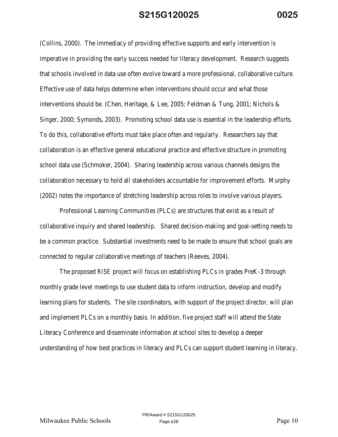(Collins, 2000). The immediacy of providing effective supports and early intervention is imperative in providing the early success needed for literacy development. Research suggests that schools involved in data use often evolve toward a more professional, collaborative culture. Effective use of data helps determine when interventions should occur and what those interventions should be. (Chen, Heritage, & Lee, 2005; Feldman & Tung, 2001; Nichols & Singer, 2000; Symonds, 2003). Promoting school data use is essential in the leadership efforts. To do this, collaborative efforts must take place often and regularly. Researchers say that collaboration is an effective general educational practice and effective structure in promoting school data use (Schmoker, 2004). Sharing leadership across various channels designs the collaboration necessary to hold all stakeholders accountable for improvement efforts. Murphy (2002) notes the importance of stretching leadership across roles to involve various players.

Professional Learning Communities (PLCs) are structures that exist as a result of collaborative inquiry and shared leadership. Shared decision-making and goal-setting needs to be a common practice. Substantial investments need to be made to ensure that school goals are connected to regular collaborative meetings of teachers (Reeves, 2004).

The proposed *RISE* project will focus on establishing PLCs in grades PreK-3 through monthly grade level meetings to use student data to inform instruction, develop and modify learning plans for students. The site coordinators, with support of the project director, will plan and implement PLCs on a monthly basis. In addition, five project staff will attend the State Literacy Conference and disseminate information at school sites to develop a deeper understanding of how best practices in literacy and PLCs can support student learning in literacy.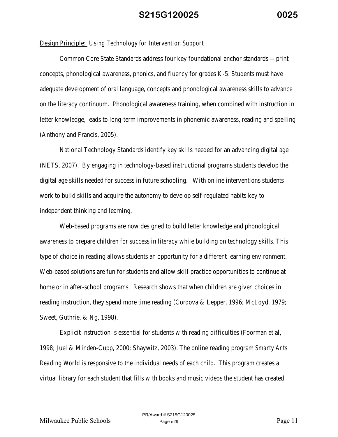#### Design Principle:  *Using Technology for Intervention Support*

Common Core State Standards address four key foundational anchor standards -- print concepts, phonological awareness, phonics, and fluency for grades K-5. Students must have adequate development of oral language, concepts and phonological awareness skills to advance on the literacy continuum. Phonological awareness training, when combined with instruction in letter knowledge, leads to long-term improvements in phonemic awareness, reading and spelling (Anthony and Francis, 2005).

National Technology Standards identify key skills needed for an advancing digital age (NETS, 2007). By engaging in technology-based instructional programs students develop the digital age skills needed for success in future schooling. With online interventions students work to build skills and acquire the autonomy to develop self-regulated habits key to independent thinking and learning.

Web-based programs are now designed to build letter knowledge and phonological awareness to prepare children for success in literacy while building on technology skills. This type of choice in reading allows students an opportunity for a different learning environment. Web-based solutions are fun for students and allow skill practice opportunities to continue at home or in after-school programs. Research shows that when children are given choices in reading instruction, they spend more time reading (Cordova & Lepper, 1996; McLoyd, 1979; Sweet, Guthrie, & Ng, 1998).

Explicit instruction is essential for students with reading difficulties (Foorman et al, 1998; Juel & Minden-Cupp, 2000; Shaywitz, 2003). The online reading program *Smarty Ants Reading World* is responsive to the individual needs of each child. This program creates a virtual library for each student that fills with books and music videos the student has created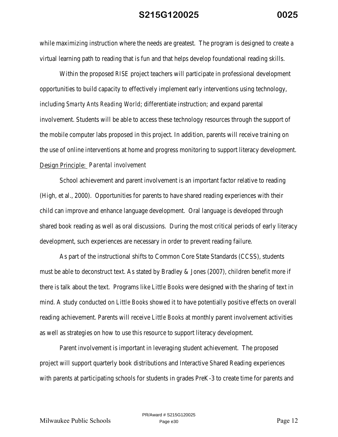while maximizing instruction where the needs are greatest. The program is designed to create a virtual learning path to reading that is fun and that helps develop foundational reading skills.

 Within the proposed *RISE* project teachers will participate in professional development opportunities to build capacity to effectively implement early interventions using technology, including *Smarty Ants Reading World*; differentiate instruction; and expand parental involvement. Students will be able to access these technology resources through the support of the mobile computer labs proposed in this project. In addition, parents will receive training on the use of online interventions at home and progress monitoring to support literacy development. Design Principle: *Parental involvement* 

School achievement and parent involvement is an important factor relative to reading (High, et al., 2000). Opportunities for parents to have shared reading experiences with their child can improve and enhance language development. Oral language is developed through shared book reading as well as oral discussions. During the most critical periods of early literacy development, such experiences are necessary in order to prevent reading failure.

As part of the instructional shifts to Common Core State Standards (CCSS), students must be able to deconstruct text. As stated by Bradley & Jones (2007), children benefit more if there is talk about the text. Programs like *Little Books* were designed with the sharing of text in mind. A study conducted on *Little Books* showed it to have potentially positive effects on overall reading achievement. Parents will receive *Little Books* at monthly parent involvement activities as well as strategies on how to use this resource to support literacy development.

Parent involvement is important in leveraging student achievement. The proposed project will support quarterly book distributions and Interactive Shared Reading experiences with parents at participating schools for students in grades PreK-3 to create time for parents and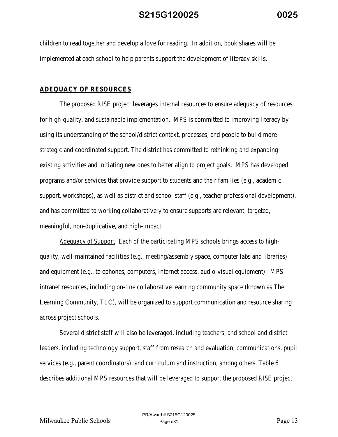children to read together and develop a love for reading. In addition, book shares will be implemented at each school to help parents support the development of literacy skills.

#### **ADEQUACY OF RESOURCES**

The proposed *RISE* project leverages internal resources to ensure adequacy of resources for high-quality, and sustainable implementation. MPS is committed to improving literacy by using its understanding of the school/district context, processes, and people to build more strategic and coordinated support. The district has committed to rethinking and expanding existing activities and initiating new ones to better align to project goals. MPS has developed programs and/or services that provide support to students and their families (e.g., academic support, workshops), as well as district and school staff (e.g., teacher professional development), and has committed to working collaboratively to ensure supports are relevant, targeted, meaningful, non-duplicative, and high-impact.

*Adequacy of Support* : Each of the participating MPS schools brings access to highquality, well-maintained facilities (e.g., meeting/assembly space, computer labs and libraries) and equipment (e.g., telephones, computers, Internet access, audio-visual equipment). MPS intranet resources, including on-line collaborative learning community space (known as The Learning Community, TLC), will be organized to support communication and resource sharing across project schools.

Several district staff will also be leveraged, including teachers, and school and district leaders, including technology support, staff from research and evaluation, communications, pupil services (e.g., parent coordinators), and curriculum and instruction, among others. Table 6 describes additional MPS resources that will be leveraged to support the proposed *RISE* project.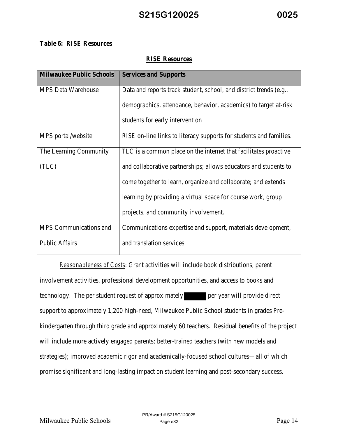#### **Table 6:** *RISE* **Resources**

| <b>RISE Resources</b>           |                                                                           |  |  |
|---------------------------------|---------------------------------------------------------------------------|--|--|
| <b>Milwaukee Public Schools</b> | <b>Services and Supports</b>                                              |  |  |
| <b>MPS Data Warehouse</b>       | Data and reports track student, school, and district trends (e.g.,        |  |  |
|                                 | demographics, attendance, behavior, academics) to target at-risk          |  |  |
|                                 | students for early intervention                                           |  |  |
| MPS portal/website              | <i>RISE</i> on-line links to literacy supports for students and families. |  |  |
| The Learning Community          | TLC is a common place on the internet that facilitates proactive          |  |  |
| (TLC)                           | and collaborative partnerships; allows educators and students to          |  |  |
|                                 | come together to learn, organize and collaborate; and extends             |  |  |
|                                 | learning by providing a virtual space for course work, group              |  |  |
|                                 | projects, and community involvement.                                      |  |  |
| MPS Communications and          | Communications expertise and support, materials development,              |  |  |
| <b>Public Affairs</b>           | and translation services                                                  |  |  |

*Reasonableness of Costs*: Grant activities will include book distributions, parent involvement activities, professional development opportunities, and access to books and technology. The per student request of approximately per year will provide direct support to approximately 1,200 high-need, Milwaukee Public School students in grades Prekindergarten through third grade and approximately 60 teachers. Residual benefits of the project will include more actively engaged parents; better-trained teachers (with new models and strategies); improved academic rigor and academically-focused school cultures—all of which promise significant and long-lasting impact on student learning and post-secondary success.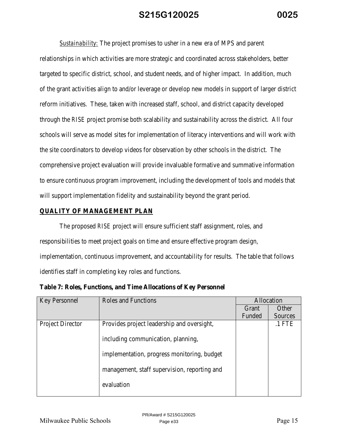*Sustainability:* The project promises to usher in a new era of MPS and parent relationships in which activities are more strategic and coordinated across stakeholders, better targeted to specific district, school, and student needs, and of higher impact. In addition, much of the grant activities align to and/or leverage or develop new models in support of larger district reform initiatives. These, taken with increased staff, school, and district capacity developed through the *RISE* project promise both scalability and sustainability across the district. All four schools will serve as model sites for implementation of literacy interventions and will work with the site coordinators to develop videos for observation by other schools in the district. The comprehensive project evaluation will provide invaluable formative and summative information to ensure continuous program improvement, including the development of tools and models that will support implementation fidelity and sustainability beyond the grant period.

#### **QUALITY OF MANAGEMENT PLAN**

The proposed *RISE* project will ensure sufficient staff assignment, roles, and responsibilities to meet project goals on time and ensure effective program design, implementation, continuous improvement, and accountability for results. The table that follows identifies staff in completing key roles and functions.

**Table 7: Roles, Functions, and Time Allocations of Key Personnel** 

| <b>Key Personnel</b>    | <b>Roles and Functions</b>                   | Allocation |          |
|-------------------------|----------------------------------------------|------------|----------|
|                         |                                              | Grant      | Other    |
|                         |                                              | Funded     | Sources  |
| <b>Project Director</b> | Provides project leadership and oversight,   |            | $.1$ FTE |
|                         | including communication, planning,           |            |          |
|                         | implementation, progress monitoring, budget  |            |          |
|                         | management, staff supervision, reporting and |            |          |
|                         | evaluation                                   |            |          |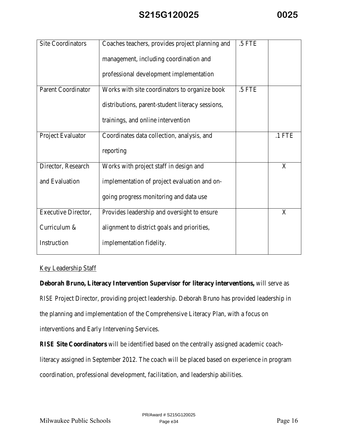| <b>Site Coordinators</b>  | Coaches teachers, provides project planning and  | .5 FTE |          |
|---------------------------|--------------------------------------------------|--------|----------|
|                           | management, including coordination and           |        |          |
|                           | professional development implementation          |        |          |
| <b>Parent Coordinator</b> | Works with site coordinators to organize book    | .5 FTE |          |
|                           | distributions, parent-student literacy sessions, |        |          |
|                           | trainings, and online intervention               |        |          |
| Project Evaluator         | Coordinates data collection, analysis, and       |        | $.1$ FTE |
|                           | reporting                                        |        |          |
| Director, Research        | Works with project staff in design and           |        | X        |
| and Evaluation            | implementation of project evaluation and on-     |        |          |
|                           | going progress monitoring and data use           |        |          |
| Executive Director,       | Provides leadership and oversight to ensure      |        | X        |
| Curriculum &              | alignment to district goals and priorities,      |        |          |
| Instruction               | implementation fidelity.                         |        |          |

#### Key Leadership Staff

**Deborah Bruno, Literacy Intervention Supervisor for literacy interventions,** will serve as *RISE* Project Director, providing project leadership. Deborah Bruno has provided leadership in the planning and implementation of the Comprehensive Literacy Plan, with a focus on interventions and Early Intervening Services.

*RISE* **Site Coordinators** will be identified based on the centrally assigned academic coachliteracy assigned in September 2012. The coach will be placed based on experience in program coordination, professional development, facilitation, and leadership abilities.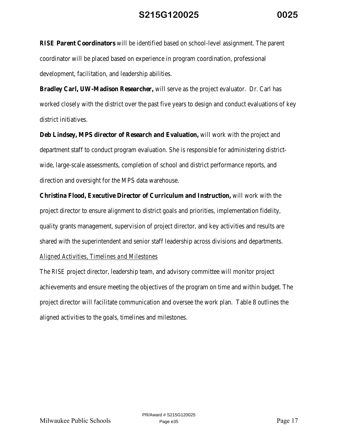*RISE* **Parent Coordinators** will be identified based on school-level assignment. The parent coordinator will be placed based on experience in program coordination, professional development, facilitation, and leadership abilities.

**Bradley Carl, UW-Madison Researcher,** will serve as the project evaluator. Dr. Carl has worked closely with the district over the past five years to design and conduct evaluations of key district initiatives.

**Deb Lindsey, MPS director of Research and Evaluation,** will work with the project and department staff to conduct program evaluation. She is responsible for administering districtwide, large-scale assessments, completion of school and district performance reports, and direction and oversight for the MPS data warehouse.

**Christina Flood, Executive Director of Curriculum and Instruction,** will work with the project director to ensure alignment to district goals and priorities, implementation fidelity, quality grants management, supervision of project director, and key activities and results are shared with the superintendent and senior staff leadership across divisions and departments.

### *Aligned Activities, Timelines and Milestones*

The *RISE* project director, leadership team, and advisory committee will monitor project achievements and ensure meeting the objectives of the program on time and within budget. The project director will facilitate communication and oversee the work plan. Table 8 outlines the aligned activities to the goals, timelines and milestones.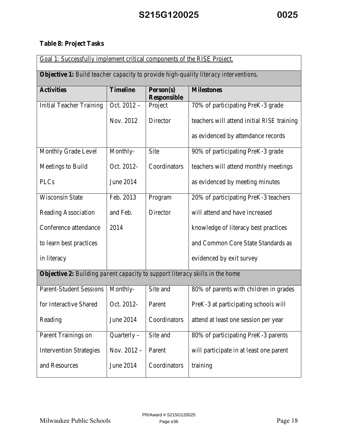## **Table 8: Project Tasks**

| Goal 1: Successfully implement critical components of the RISE Project.                    |                 |                                 |                                            |
|--------------------------------------------------------------------------------------------|-----------------|---------------------------------|--------------------------------------------|
| <b>Objective 1:</b> Build teacher capacity to provide high-quality literacy interventions. |                 |                                 |                                            |
| <b>Activities</b>                                                                          | <b>Timeline</b> | Person(s)<br><b>Responsible</b> | <b>Milestones</b>                          |
| <b>Initial Teacher Training</b>                                                            | Oct. 2012 -     | Project                         | 70% of participating PreK-3 grade          |
|                                                                                            | Nov. 2012       | Director                        | teachers will attend initial RISE training |
|                                                                                            |                 |                                 | as evidenced by attendance records         |
| Monthly Grade Level                                                                        | Monthly-        | Site                            | 90% of participating PreK-3 grade          |
| Meetings to Build                                                                          | Oct. 2012-      | Coordinators                    | teachers will attend monthly meetings      |
| <b>PLCs</b>                                                                                | June 2014       |                                 | as evidenced by meeting minutes            |
| <b>Wisconsin State</b>                                                                     | Feb. 2013       | Program                         | 20% of participating PreK-3 teachers       |
| <b>Reading Association</b>                                                                 | and Feb.        | Director                        | will attend and have increased             |
| Conference attendance                                                                      | 2014            |                                 | knowledge of literacy best practices       |
| to learn best practices                                                                    |                 |                                 | and Common Core State Standards as         |
| in literacy                                                                                |                 |                                 | evidenced by exit survey                   |
| Objective 2: Building parent capacity to support literacy skills in the home               |                 |                                 |                                            |
| <b>Parent-Student Sessions</b>                                                             | Monthly-        | Site and                        | 80% of parents with children in grades     |
| for Interactive Shared                                                                     | Oct. 2012-      | Parent                          | PreK-3 at participating schools will       |
| Reading                                                                                    | June 2014       | Coordinators                    | attend at least one session per year       |
| Parent Trainings on                                                                        | $Quarterly -$   | Site and                        | 80% of participating PreK-3 parents        |
| <b>Intervention Strategies</b>                                                             | Nov. $2012 -$   | Parent                          | will participate in at least one parent    |
| and Resources                                                                              | June 2014       | Coordinators                    | training                                   |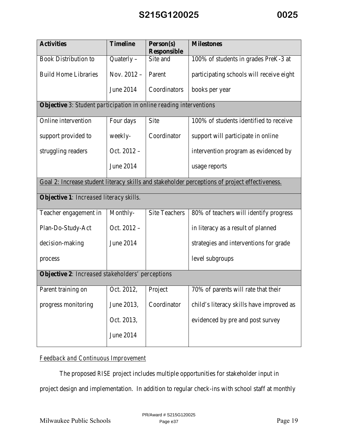| <b>Activities</b>                                                         | <b>Timeline</b> | Person(s)<br><b>Responsible</b> | <b>Milestones</b>                                                                              |  |
|---------------------------------------------------------------------------|-----------------|---------------------------------|------------------------------------------------------------------------------------------------|--|
| <b>Book Distribution to</b>                                               | Quaterly $-$    | Site and                        | 100% of students in grades PreK-3 at                                                           |  |
| <b>Build Home Libraries</b>                                               | Nov. $2012 -$   | Parent                          | participating schools will receive eight                                                       |  |
|                                                                           | June 2014       | Coordinators                    | books per year                                                                                 |  |
| <b>Objective</b> 3: Student participation in online reading interventions |                 |                                 |                                                                                                |  |
| Online intervention                                                       | Four days       | Site                            | 100% of students identified to receive                                                         |  |
| support provided to                                                       | weekly-         | Coordinator                     | support will participate in online                                                             |  |
| struggling readers                                                        | Oct. 2012 -     |                                 | intervention program as evidenced by                                                           |  |
|                                                                           | June 2014       |                                 | usage reports                                                                                  |  |
|                                                                           |                 |                                 | Goal 2: Increase student literacy skills and stakeholder perceptions of project effectiveness. |  |
| Objective 1: Increased literacy skills.                                   |                 |                                 |                                                                                                |  |
| Teacher engagement in                                                     | Monthly-        | <b>Site Teachers</b>            | 80% of teachers will identify progress                                                         |  |
| Plan-Do-Study-Act                                                         | Oct. 2012 -     |                                 | in literacy as a result of planned                                                             |  |
| decision-making                                                           | June 2014       |                                 | strategies and interventions for grade                                                         |  |
| process                                                                   |                 |                                 | level subgroups                                                                                |  |
| <b>Objective 2:</b> Increased stakeholders' perceptions                   |                 |                                 |                                                                                                |  |
| Parent training on                                                        | Oct. 2012,      | Project                         | 70% of parents will rate that their                                                            |  |
| progress monitoring                                                       | June 2013,      | Coordinator                     | child's literacy skills have improved as                                                       |  |
|                                                                           | Oct. 2013,      |                                 | evidenced by pre and post survey                                                               |  |
|                                                                           | June 2014       |                                 |                                                                                                |  |

### *Feedback and Continuous Improvement*

The proposed *RISE* project includes multiple opportunities for stakeholder input in project design and implementation. In addition to regular check-ins with school staff at monthly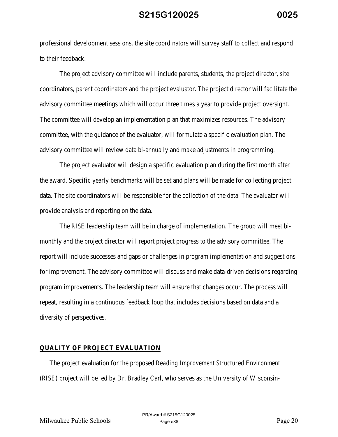professional development sessions, the site coordinators will survey staff to collect and respond to their feedback.

The project advisory committee will include parents, students, the project director, site coordinators, parent coordinators and the project evaluator. The project director will facilitate the advisory committee meetings which will occur three times a year to provide project oversight. The committee will develop an implementation plan that maximizes resources. The advisory committee, with the guidance of the evaluator, will formulate a specific evaluation plan. The advisory committee will review data bi-annually and make adjustments in programming.

The project evaluator will design a specific evaluation plan during the first month after the award. Specific yearly benchmarks will be set and plans will be made for collecting project data. The site coordinators will be responsible for the collection of the data. The evaluator will provide analysis and reporting on the data.

The *RISE* leadership team will be in charge of implementation. The group will meet bimonthly and the project director will report project progress to the advisory committee. The report will include successes and gaps or challenges in program implementation and suggestions for improvement. The advisory committee will discuss and make data-driven decisions regarding program improvements. The leadership team will ensure that changes occur. The process will repeat, resulting in a continuous feedback loop that includes decisions based on data and a diversity of perspectives.

#### **QUALITY OF PROJECT EVALUATION**

The project evaluation for the proposed *Reading Improvement Structured Environment* (*RISE*) project will be led by Dr. Bradley Carl, who serves as the University of Wisconsin-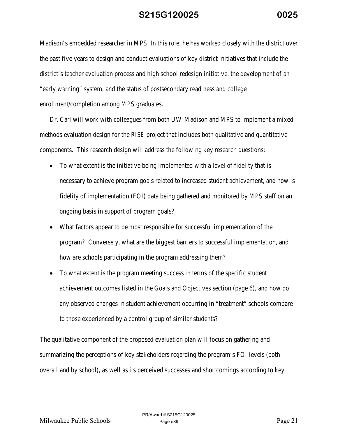Madison's embedded researcher in MPS. In this role, he has worked closely with the district over the past five years to design and conduct evaluations of key district initiatives that include the district's teacher evaluation process and high school redesign initiative, the development of an "early warning" system, and the status of postsecondary readiness and college enrollment/completion among MPS graduates.

Dr. Carl will work with colleagues from both UW-Madison and MPS to implement a mixedmethods evaluation design for the *RISE* project that includes both qualitative and quantitative components. This research design will address the following key research questions:

- To what extent is the initiative being implemented with a level of fidelity that is necessary to achieve program goals related to increased student achievement, and how is fidelity of implementation (FOI) data being gathered and monitored by MPS staff on an ongoing basis in support of program goals?
- What factors appear to be most responsible for successful implementation of the program? Conversely, what are the biggest barriers to successful implementation, and how are schools participating in the program addressing them?
- To what extent is the program meeting success in terms of the specific student achievement outcomes listed in the Goals and Objectives section (page 6), and how do any observed changes in student achievement occurring in "treatment" schools compare to those experienced by a control group of similar students?

The qualitative component of the proposed evaluation plan will focus on gathering and summarizing the perceptions of key stakeholders regarding the program's FOI levels (both overall and by school), as well as its perceived successes and shortcomings according to key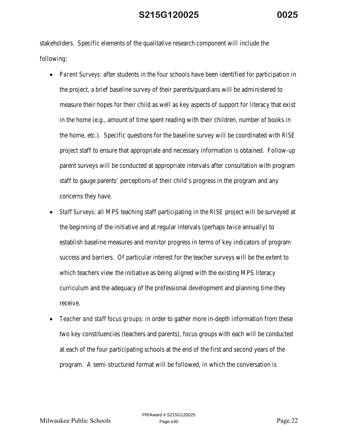stakeholders. Specific elements of the qualitative research component will include the following:

- *Parent Surveys*: after students in the four schools have been identified for participation in the project, a brief baseline survey of their parents/guardians will be administered to measure their hopes for their child as well as key aspects of support for literacy that exist in the home (e.g., amount of time spent reading with their children, number of books in the home, etc.). Specific questions for the baseline survey will be coordinated with *RISE* project staff to ensure that appropriate and necessary information is obtained. Follow-up parent surveys will be conducted at appropriate intervals after consultation with program staff to gauge parents' perceptions of their child's progress in the program and any concerns they have.
- *Staff Surveys*: all MPS teaching staff participating in the *RISE* project will be surveyed at the beginning of the initiative and at regular intervals (perhaps twice annually) to establish baseline measures and monitor progress in terms of key indicators of program success and barriers. Of particular interest for the teacher surveys will be the extent to which teachers view the initiative as being aligned with the existing MPS literacy curriculum and the adequacy of the professional development and planning time they receive.
- *Teacher and staff focus groups*: in order to gather more in-depth information from these two key constituencies (teachers and parents), focus groups with each will be conducted at each of the four participating schools at the end of the first and second years of the program. A semi-structured format will be followed, in which the conversation is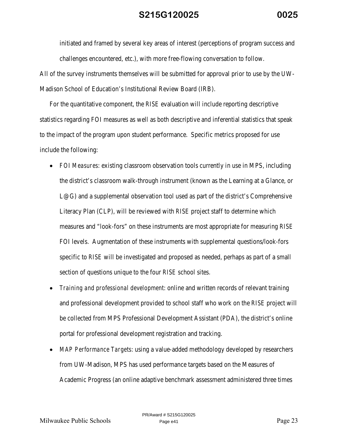initiated and framed by several key areas of interest (perceptions of program success and challenges encountered, etc.), with more free-flowing conversation to follow.

All of the survey instruments themselves will be submitted for approval prior to use by the UW-Madison School of Education's Institutional Review Board (IRB).

For the quantitative component, the *RISE* evaluation will include reporting descriptive statistics regarding FOI measures as well as both descriptive and inferential statistics that speak to the impact of the program upon student performance. Specific metrics proposed for use include the following:

- *FOI Measures*: existing classroom observation tools currently in use in MPS, including the district's classroom walk-through instrument (known as the Learning at a Glance, or L@G) and a supplemental observation tool used as part of the district's Comprehensive Literacy Plan (CLP), will be reviewed with *RISE* project staff to determine which measures and "look-fors" on these instruments are most appropriate for measuring *RISE* FOI levels. Augmentation of these instruments with supplemental questions/look-fors specific to *RISE* will be investigated and proposed as needed, perhaps as part of a small section of questions unique to the four *RISE* school sites.
- *Training and professional development*: online and written records of relevant training and professional development provided to school staff who work on the *RISE* project will be collected from MPS Professional Development Assistant (PDA), the district's online portal for professional development registration and tracking.
- *MAP Performance Targets*: using a value-added methodology developed by researchers from UW-Madison, MPS has used performance targets based on the Measures of Academic Progress (an online adaptive benchmark assessment administered three times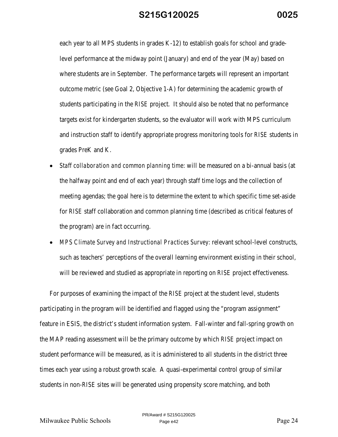each year to all MPS students in grades K-12) to establish goals for school and gradelevel performance at the midway point (January) and end of the year (May) based on where students are in September. The performance targets will represent an important outcome metric (see Goal 2, Objective 1-A) for determining the academic growth of students participating in the *RISE* project. It should also be noted that no performance targets exist for kindergarten students, so the evaluator will work with MPS curriculum and instruction staff to identify appropriate progress monitoring tools for *RISE* students in grades PreK and K.

- *Staff collaboration and common planning time*: will be measured on a bi-annual basis (at the halfway point and end of each year) through staff time logs and the collection of meeting agendas; the goal here is to determine the extent to which specific time set-aside for *RISE* staff collaboration and common planning time (described as critical features of the program) are in fact occurring.
- *MPS Climate Survey and Instructional Practices Survey*: relevant school-level constructs, such as teachers' perceptions of the overall learning environment existing in their school, will be reviewed and studied as appropriate in reporting on *RISE* project effectiveness.

For purposes of examining the impact of the *RISE* project at the student level, students participating in the program will be identified and flagged using the "program assignment" feature in ESIS, the district's student information system. Fall-winter and fall-spring growth on the MAP reading assessment will be the primary outcome by which *RISE* project impact on student performance will be measured, as it is administered to all students in the district three times each year using a robust growth scale. A quasi-experimental control group of similar students in non-*RISE* sites will be generated using propensity score matching, and both